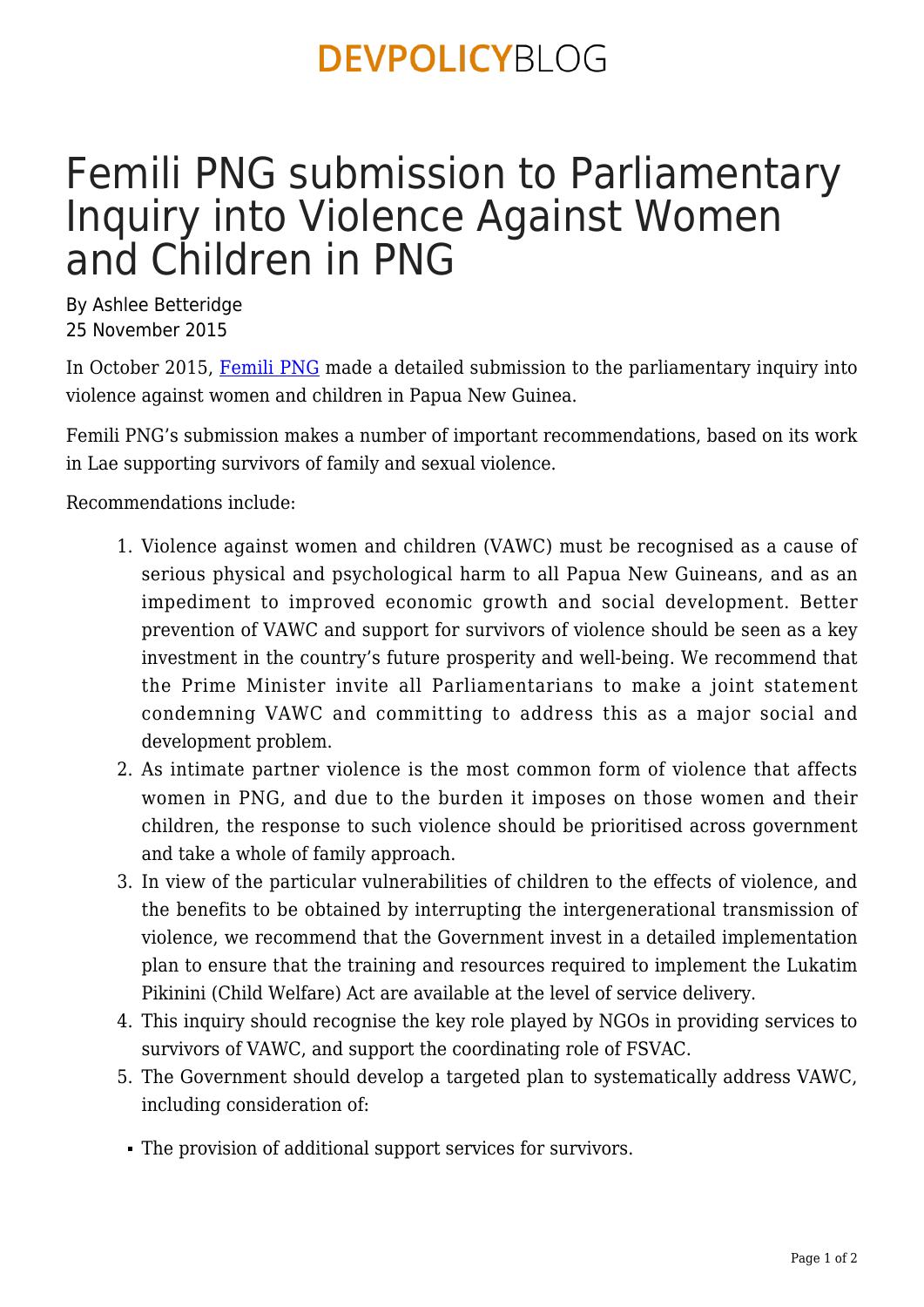### **DEVPOLICYBLOG**

## Femili PNG submission to Parliamentary Inquiry into Violence Against Women and Children in PNG

By Ashlee Betteridge 25 November 2015

In October 2015, [Femili PNG](http://www.femilipng.org/) made a detailed submission to the parliamentary inquiry into violence against women and children in Papua New Guinea.

Femili PNG's submission makes a number of important recommendations, based on its work in Lae supporting survivors of family and sexual violence.

Recommendations include:

- 1. Violence against women and children (VAWC) must be recognised as a cause of serious physical and psychological harm to all Papua New Guineans, and as an impediment to improved economic growth and social development. Better prevention of VAWC and support for survivors of violence should be seen as a key investment in the country's future prosperity and well-being. We recommend that the Prime Minister invite all Parliamentarians to make a joint statement condemning VAWC and committing to address this as a major social and development problem.
- 2. As intimate partner violence is the most common form of violence that affects women in PNG, and due to the burden it imposes on those women and their children, the response to such violence should be prioritised across government and take a whole of family approach.
- 3. In view of the particular vulnerabilities of children to the effects of violence, and the benefits to be obtained by interrupting the intergenerational transmission of violence, we recommend that the Government invest in a detailed implementation plan to ensure that the training and resources required to implement the Lukatim Pikinini (Child Welfare) Act are available at the level of service delivery.
- 4. This inquiry should recognise the key role played by NGOs in providing services to survivors of VAWC, and support the coordinating role of FSVAC.
- 5. The Government should develop a targeted plan to systematically address VAWC, including consideration of:
- The provision of additional support services for survivors.